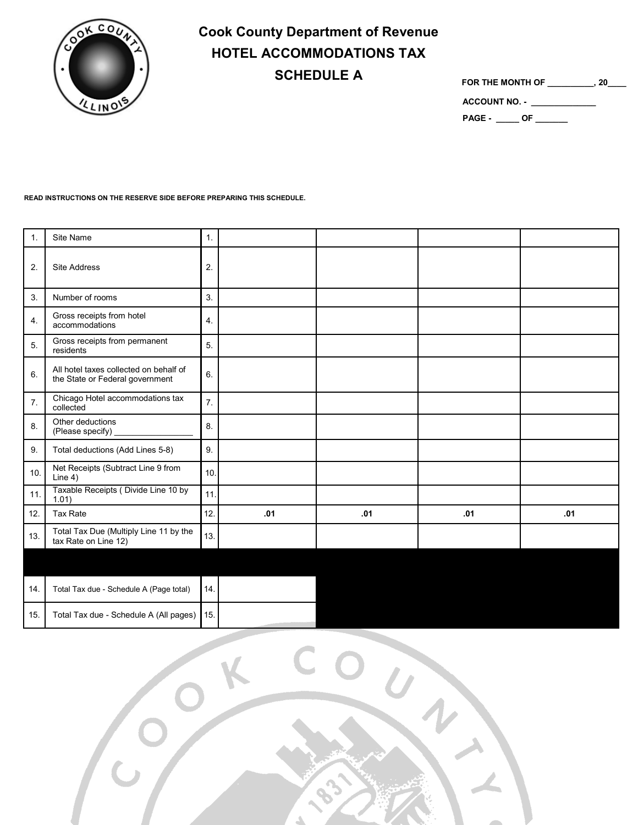

## **Cook County Department of Revenue HOTEL ACCOMMODATIONS TAX SCHEDULE A**

**FOR THE MONTH OF \_\_\_\_\_\_\_\_\_\_, 20\_\_\_\_**

**ACCOUNT NO. - \_\_\_\_\_\_\_\_\_\_\_\_\_\_ PAGE - \_\_\_\_\_ OF \_\_\_\_\_\_\_**

## **READ INSTRUCTIONS ON THE RESERVE SIDE BEFORE PREPARING THIS SCHEDULE.**

| 1.  | Site Name                                                                 | $\mathbf{1}$ .   |     |     |     |     |
|-----|---------------------------------------------------------------------------|------------------|-----|-----|-----|-----|
| 2.  | Site Address                                                              | 2.               |     |     |     |     |
| 3.  | Number of rooms                                                           | 3.               |     |     |     |     |
| 4.  | Gross receipts from hotel<br>accommodations                               | 4.               |     |     |     |     |
| 5.  | Gross receipts from permanent<br>residents                                | 5.               |     |     |     |     |
| 6.  | All hotel taxes collected on behalf of<br>the State or Federal government | 6.               |     |     |     |     |
| 7.  | Chicago Hotel accommodations tax<br>collected                             | $\overline{7}$ . |     |     |     |     |
| 8.  | Other deductions<br>(Please specify)                                      | 8.               |     |     |     |     |
| 9.  | Total deductions (Add Lines 5-8)                                          | 9.               |     |     |     |     |
| 10. | Net Receipts (Subtract Line 9 from<br>Line 4)                             | 10.              |     |     |     |     |
| 11. | Taxable Receipts (Divide Line 10 by<br>1.01                               | 11.              |     |     |     |     |
| 12. | Tax Rate                                                                  | 12.              | .01 | .01 | .01 | .01 |
| 13. | Total Tax Due (Multiply Line 11 by the<br>tax Rate on Line 12)            | 13.              |     |     |     |     |
|     |                                                                           |                  |     |     |     |     |
|     |                                                                           |                  |     |     |     |     |
| 14. | Total Tax due - Schedule A (Page total)                                   | 14.              |     |     |     |     |
| 15. | Total Tax due - Schedule A (All pages)                                    | 15.              |     |     |     |     |